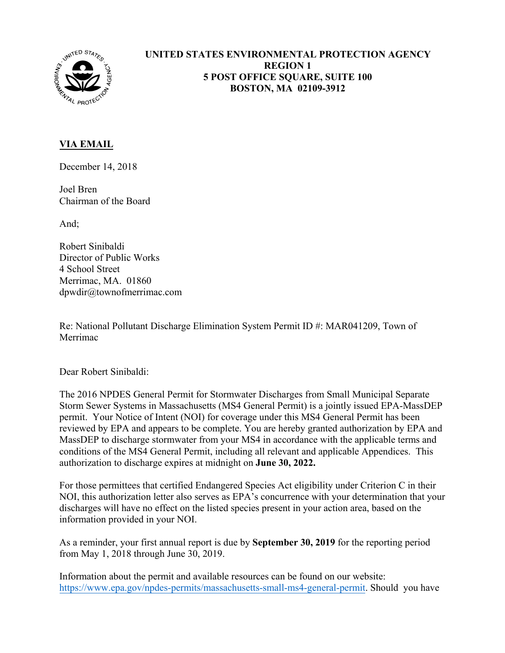

## **UNITED STATES ENVIRONMENTAL PROTECTION AGENCY REGION 1 5 POST OFFICE SQUARE, SUITE 100 BOSTON, MA 02109-3912**

## **VIA EMAIL**

December 14, 2018

Joel Bren Chairman of the Board

And;

Robert Sinibaldi Director of Public Works 4 School Street Merrimac, MA. 01860 dpwdir@townofmerrimac.com

Re: National Pollutant Discharge Elimination System Permit ID #: MAR041209, Town of Merrimac

Dear Robert Sinibaldi:

The 2016 NPDES General Permit for Stormwater Discharges from Small Municipal Separate Storm Sewer Systems in Massachusetts (MS4 General Permit) is a jointly issued EPA-MassDEP permit. Your Notice of Intent (NOI) for coverage under this MS4 General Permit has been reviewed by EPA and appears to be complete. You are hereby granted authorization by EPA and MassDEP to discharge stormwater from your MS4 in accordance with the applicable terms and conditions of the MS4 General Permit, including all relevant and applicable Appendices. This authorization to discharge expires at midnight on **June 30, 2022.**

For those permittees that certified Endangered Species Act eligibility under Criterion C in their NOI, this authorization letter also serves as EPA's concurrence with your determination that your discharges will have no effect on the listed species present in your action area, based on the information provided in your NOI.

As a reminder, your first annual report is due by **September 30, 2019** for the reporting period from May 1, 2018 through June 30, 2019.

Information about the permit and available resources can be found on our website: <https://www.epa.gov/npdes-permits/massachusetts-small-ms4-general-permit>. Should you have